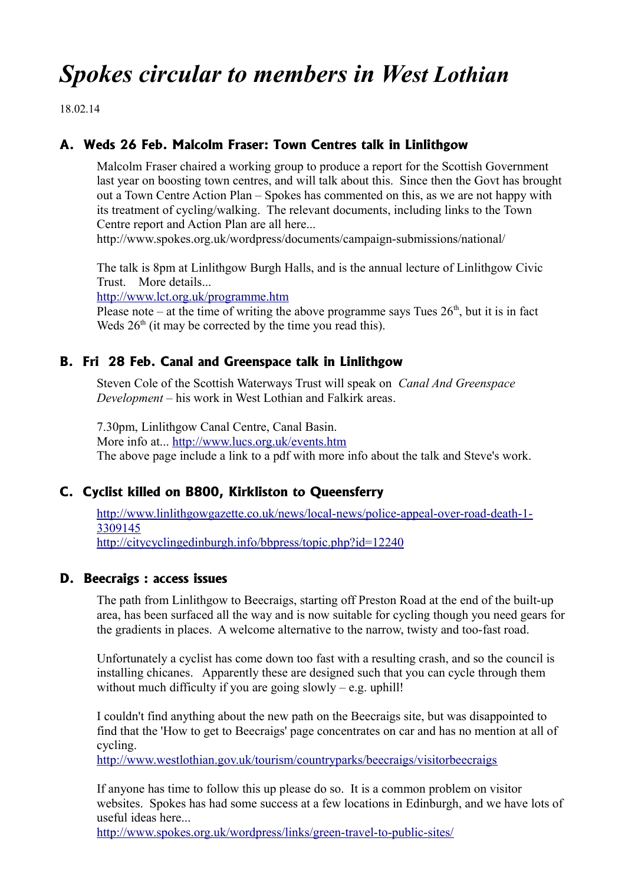# *Spokes circular to members in West Lothian*

18.02.14

# **A. Weds 26 Feb. Malcolm Fraser: Town Centres talk in Linlithgow**

Malcolm Fraser chaired a working group to produce a report for the Scottish Government last year on boosting town centres, and will talk about this. Since then the Govt has brought out a Town Centre Action Plan – Spokes has commented on this, as we are not happy with its treatment of cycling/walking. The relevant documents, including links to the Town Centre report and Action Plan are all here...

http://www.spokes.org.uk/wordpress/documents/campaign-submissions/national/

The talk is 8pm at Linlithgow Burgh Halls, and is the annual lecture of Linlithgow Civic Trust. More details...

<http://www.lct.org.uk/programme.htm>

Please note – at the time of writing the above programme says Tues  $26<sup>th</sup>$ , but it is in fact Weds  $26<sup>th</sup>$  (it may be corrected by the time you read this).

#### **B. Fri 28 Feb. Canal and Greenspace talk in Linlithgow**

Steven Cole of the Scottish Waterways Trust will speak on *Canal And Greenspace Development* – his work in West Lothian and Falkirk areas.

7.30pm, Linlithgow Canal Centre, Canal Basin. More info at...<http://www.lucs.org.uk/events.htm> The above page include a link to a pdf with more info about the talk and Steve's work.

## **C. Cyclist killed on B800, Kirkliston to Queensferry**

[http://www.linlithgowgazette.co.uk/news/local-news/police-appeal-over-road-death-1-](http://www.linlithgowgazette.co.uk/news/local-news/police-appeal-over-road-death-1-3309145) [3309145](http://www.linlithgowgazette.co.uk/news/local-news/police-appeal-over-road-death-1-3309145)

<http://citycyclingedinburgh.info/bbpress/topic.php?id=12240>

#### **D. Beecraigs : access issues**

The path from Linlithgow to Beecraigs, starting off Preston Road at the end of the built-up area, has been surfaced all the way and is now suitable for cycling though you need gears for the gradients in places. A welcome alternative to the narrow, twisty and too-fast road.

Unfortunately a cyclist has come down too fast with a resulting crash, and so the council is installing chicanes. Apparently these are designed such that you can cycle through them without much difficulty if you are going slowly  $-$  e.g. uphill!

I couldn't find anything about the new path on the Beecraigs site, but was disappointed to find that the 'How to get to Beecraigs' page concentrates on car and has no mention at all of cycling.

<http://www.westlothian.gov.uk/tourism/countryparks/beecraigs/visitorbeecraigs>

If anyone has time to follow this up please do so. It is a common problem on visitor websites. Spokes has had some success at a few locations in Edinburgh, and we have lots of useful ideas here...

<http://www.spokes.org.uk/wordpress/links/green-travel-to-public-sites/>